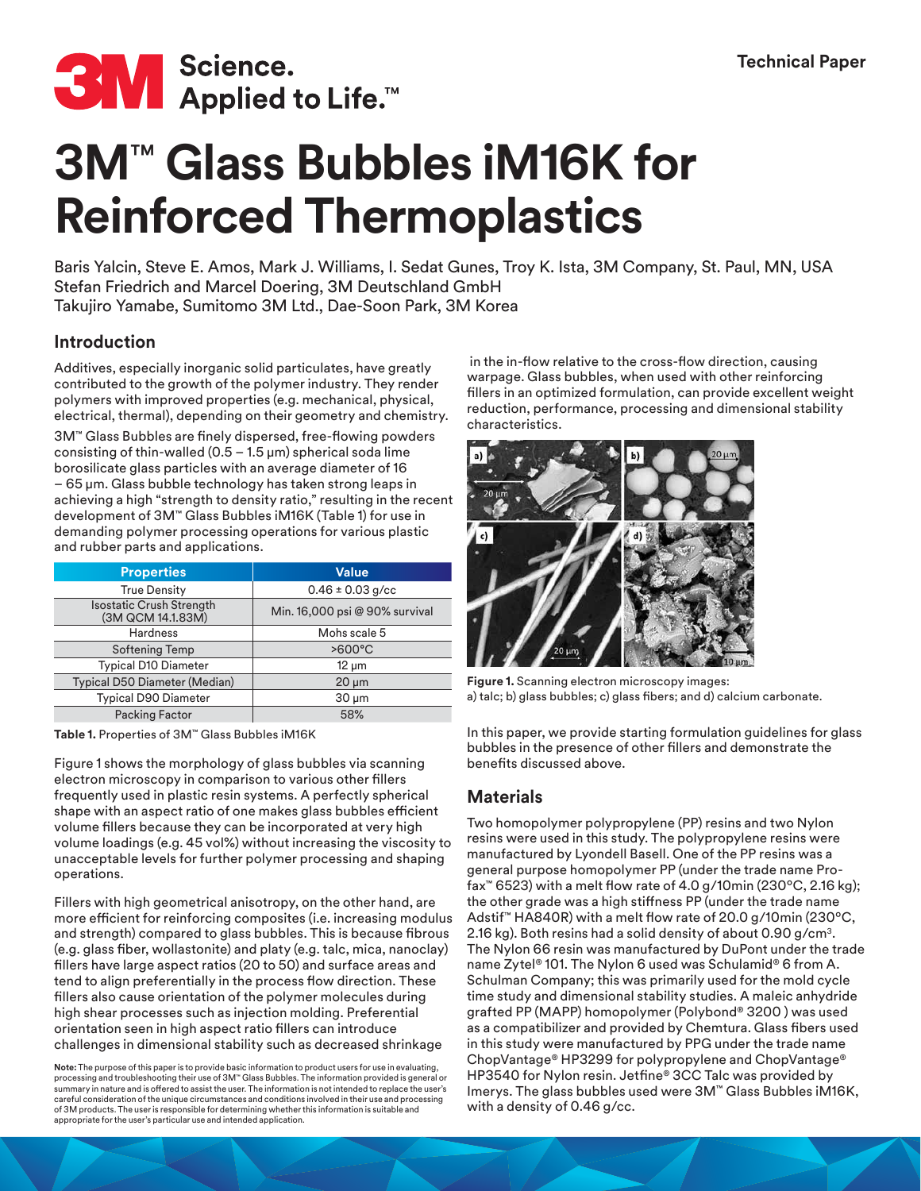

# **3M**™ **Glass Bubbles iM16K for Reinforced Thermoplastics**

Baris Yalcin, Steve E. Amos, Mark J. Williams, I. Sedat Gunes, Troy K. Ista, 3M Company, St. Paul, MN, USA Stefan Friedrich and Marcel Doering, 3M Deutschland GmbH Takujiro Yamabe, Sumitomo 3M Ltd., Dae-Soon Park, 3M Korea

## **Introduction**

Additives, especially inorganic solid particulates, have greatly contributed to the growth of the polymer industry. They render polymers with improved properties (e.g. mechanical, physical, electrical, thermal), depending on their geometry and chemistry.

3M™ Glass Bubbles are finely dispersed, free-flowing powders consisting of thin-walled  $(0.5 - 1.5 \,\mu\text{m})$  spherical soda lime borosilicate glass particles with an average diameter of 16 – 65 µm. Glass bubble technology has taken strong leaps in achieving a high "strength to density ratio," resulting in the recent development of 3M™ Glass Bubbles iM16K (Table 1) for use in demanding polymer processing operations for various plastic and rubber parts and applications.

| <b>Properties</b>                                    | <b>Value</b>                   |  |  |  |
|------------------------------------------------------|--------------------------------|--|--|--|
| <b>True Density</b>                                  | $0.46 \pm 0.03$ g/cc           |  |  |  |
| <b>Isostatic Crush Strength</b><br>(3M QCM 14.1.83M) | Min. 16,000 psi @ 90% survival |  |  |  |
| <b>Hardness</b>                                      | Mohs scale 5                   |  |  |  |
| Softening Temp                                       | $>600^{\circ}$ C               |  |  |  |
| <b>Typical D10 Diameter</b>                          | $12 \mu m$                     |  |  |  |
| Typical D50 Diameter (Median)                        | $20 \mu m$                     |  |  |  |
| <b>Typical D90 Diameter</b>                          | $30 \mu m$                     |  |  |  |
| <b>Packing Factor</b>                                | 58%                            |  |  |  |

**Table 1.** Properties of 3M™ Glass Bubbles iM16K

Figure 1 shows the morphology of glass bubbles via scanning electron microscopy in comparison to various other fillers frequently used in plastic resin systems. A perfectly spherical shape with an aspect ratio of one makes glass bubbles efficient volume fillers because they can be incorporated at very high volume loadings (e.g. 45 vol%) without increasing the viscosity to unacceptable levels for further polymer processing and shaping operations.

Fillers with high geometrical anisotropy, on the other hand, are more efficient for reinforcing composites (i.e. increasing modulus and strength) compared to glass bubbles. This is because fibrous (e.g. glass fiber, wollastonite) and platy (e.g. talc, mica, nanoclay) fillers have large aspect ratios (20 to 50) and surface areas and tend to align preferentially in the process flow direction. These fillers also cause orientation of the polymer molecules during high shear processes such as injection molding. Preferential orientation seen in high aspect ratio fillers can introduce challenges in dimensional stability such as decreased shrinkage

**Note:** The purpose of this paper is to provide basic information to product users for use in evaluating, processing and troubleshooting their use of 3M™ Glass Bubbles. The information provided is general or summary in nature and is offered to assist the user. The information is not intended to replace the user's careful consideration of the unique circumstances and conditions involved in their use and processing of 3M products. The user is responsible for determining whether this information is suitable and appropriate for the user's particular use and intended application.

 in the in-flow relative to the cross-flow direction, causing warpage. Glass bubbles, when used with other reinforcing fillers in an optimized formulation, can provide excellent weight reduction, performance, processing and dimensional stability characteristics.



**Figure 1.** Scanning electron microscopy images: a) talc; b) glass bubbles; c) glass fibers; and d) calcium carbonate.

In this paper, we provide starting formulation guidelines for glass bubbles in the presence of other fillers and demonstrate the benefits discussed above.

# **Materials**

Two homopolymer polypropylene (PP) resins and two Nylon resins were used in this study. The polypropylene resins were manufactured by Lyondell Basell. One of the PP resins was a general purpose homopolymer PP (under the trade name Profax™ 6523) with a melt flow rate of 4.0 g/10min (230ºC, 2.16 kg); the other grade was a high stiffness PP (under the trade name Adstif™ HA840R) with a melt flow rate of 20.0 g/10min (230ºC, 2.16 kg). Both resins had a solid density of about 0.90 g/cm3. The Nylon 66 resin was manufactured by DuPont under the trade name Zytel® 101. The Nylon 6 used was Schulamid® 6 from A. Schulman Company; this was primarily used for the mold cycle time study and dimensional stability studies. A maleic anhydride grafted PP (MAPP) homopolymer (Polybond® 3200 ) was used as a compatibilizer and provided by Chemtura. Glass fibers used in this study were manufactured by PPG under the trade name ChopVantage® HP3299 for polypropylene and ChopVantage® HP3540 for Nylon resin. Jetfine® 3CC Talc was provided by Imerys. The glass bubbles used were 3M™ Glass Bubbles iM16K, with a density of 0.46 g/cc.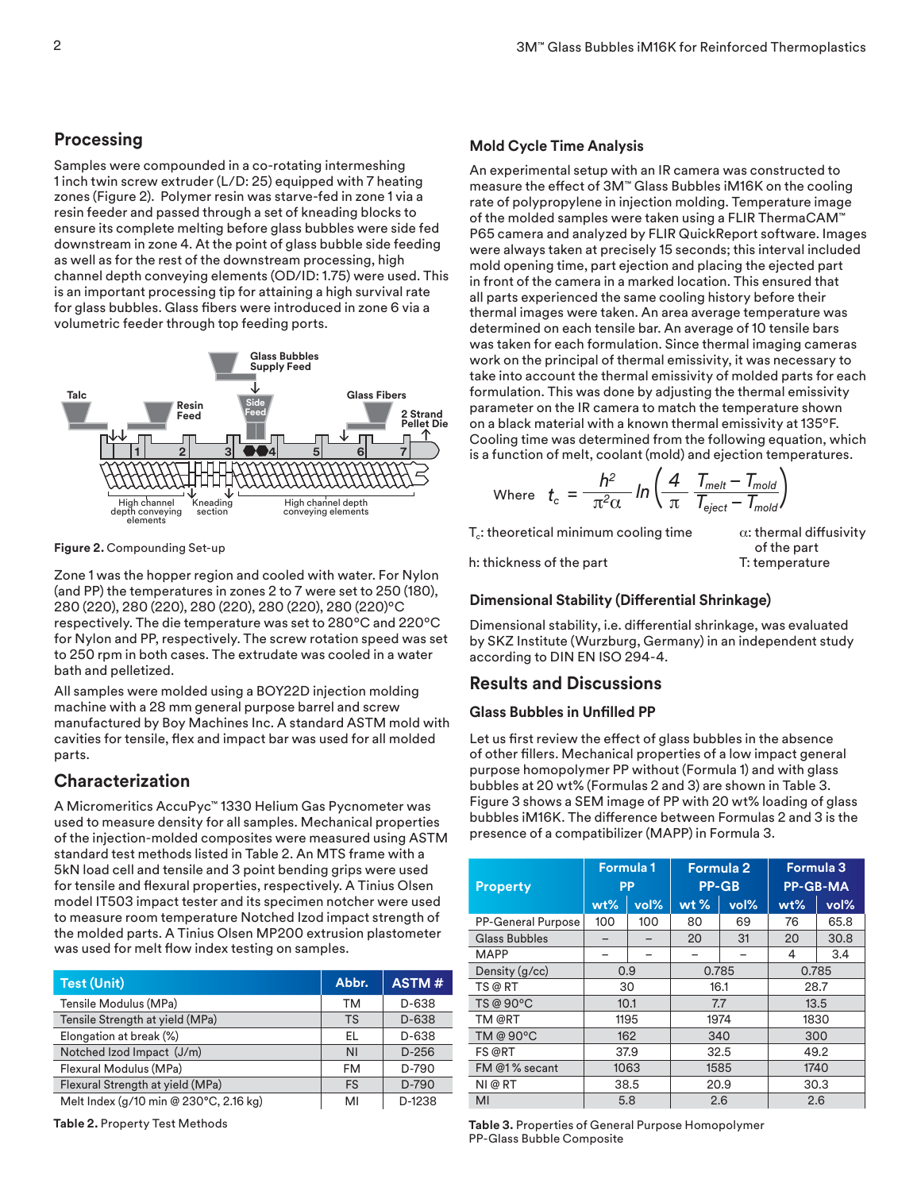## **Processing**

Samples were compounded in a co-rotating intermeshing 1 inch twin screw extruder (L/D: 25) equipped with 7 heating zones (Figure 2). Polymer resin was starve-fed in zone 1 via a resin feeder and passed through a set of kneading blocks to ensure its complete melting before glass bubbles were side fed downstream in zone 4. At the point of glass bubble side feeding as well as for the rest of the downstream processing, high channel depth conveying elements (OD/ID: 1.75) were used. This is an important processing tip for attaining a high survival rate for glass bubbles. Glass fibers were introduced in zone 6 via a volumetric feeder through top feeding ports.



**Figure 2.** Compounding Set-up

Zone 1 was the hopper region and cooled with water. For Nylon (and PP) the temperatures in zones 2 to 7 were set to 250 (180), 280 (220), 280 (220), 280 (220), 280 (220), 280 (220)ºC respectively. The die temperature was set to 280ºC and 220ºC for Nylon and PP, respectively. The screw rotation speed was set to 250 rpm in both cases. The extrudate was cooled in a water bath and pelletized.

All samples were molded using a BOY22D injection molding machine with a 28 mm general purpose barrel and screw manufactured by Boy Machines Inc. A standard ASTM mold with cavities for tensile, flex and impact bar was used for all molded parts.

# **Characterization**

A Micromeritics AccuPyc™ 1330 Helium Gas Pycnometer was used to measure density for all samples. Mechanical properties of the injection-molded composites were measured using ASTM standard test methods listed in Table 2. An MTS frame with a 5kN load cell and tensile and 3 point bending grips were used for tensile and flexural properties, respectively. A Tinius Olsen model IT503 impact tester and its specimen notcher were used to measure room temperature Notched Izod impact strength of the molded parts. A Tinius Olsen MP200 extrusion plastometer was used for melt flow index testing on samples.

| <b>Test (Unit)</b>                     | Abbr.     | ASTM#   |
|----------------------------------------|-----------|---------|
| Tensile Modulus (MPa)                  | ТM        | D-638   |
| Tensile Strength at yield (MPa)        | <b>TS</b> | D-638   |
| Elongation at break (%)                | EL        | D-638   |
| Notched Izod Impact (J/m)              | <b>NI</b> | $D-256$ |
| Flexural Modulus (MPa)                 | FM        | D-790   |
| Flexural Strength at yield (MPa)       | <b>FS</b> | D-790   |
| Melt Index (g/10 min @ 230°C, 2.16 kg) | MI        | D-1238  |

**Table 2.** Property Test Methods

#### **Mold Cycle Time Analysis**

An experimental setup with an IR camera was constructed to measure the effect of 3M™ Glass Bubbles iM16K on the cooling rate of polypropylene in injection molding. Temperature image of the molded samples were taken using a FLIR ThermaCAM™ P65 camera and analyzed by FLIR QuickReport software. Images were always taken at precisely 15 seconds; this interval included mold opening time, part ejection and placing the ejected part in front of the camera in a marked location. This ensured that all parts experienced the same cooling history before their thermal images were taken. An area average temperature was determined on each tensile bar. An average of 10 tensile bars was taken for each formulation. Since thermal imaging cameras work on the principal of thermal emissivity, it was necessary to take into account the thermal emissivity of molded parts for each formulation. This was done by adjusting the thermal emissivity parameter on the IR camera to match the temperature shown on a black material with a known thermal emissivity at 135ºF. Cooling time was determined from the following equation, which is a function of melt, coolant (mold) and ejection temperatures.

Where 
$$
t_c = \frac{h^2}{\pi^2 \alpha} ln \left( \frac{4}{\pi} \frac{T_{melt} - T_{mold}}{T_{eject} - T_{mold}} \right)
$$

 $T_c$ : theoretical minimum cooling time  $\alpha$ : thermal diffusivity

h: thickness of the part T: temperature

of the part

## **Dimensional Stability (Differential Shrinkage)**

Dimensional stability, i.e. differential shrinkage, was evaluated by SKZ Institute (Wurzburg, Germany) in an independent study according to DIN EN ISO 294-4.

## **Results and Discussions**

#### **Glass Bubbles in Unfilled PP**

Let us first review the effect of glass bubbles in the absence of other fillers. Mechanical properties of a low impact general purpose homopolymer PP without (Formula 1) and with glass bubbles at 20 wt% (Formulas 2 and 3) are shown in Table 3. Figure 3 shows a SEM image of PP with 20 wt% loading of glass bubbles iM16K. The difference between Formulas 2 and 3 is the presence of a compatibilizer (MAPP) in Formula 3.

| <b>Property</b>           | <b>Formula 1</b><br><b>PP</b> |      | <b>Formula 2</b><br><b>PP-GB</b> |      | Formula 3<br><b>PP-GB-MA</b> |      |
|---------------------------|-------------------------------|------|----------------------------------|------|------------------------------|------|
|                           | $wt\%$                        | vol% | $wt$ %                           | vol% | $wt\%$                       | vol% |
| <b>PP-General Purpose</b> | 100                           | 100  | 80                               | 69   | 76                           | 65.8 |
| <b>Glass Bubbles</b>      |                               |      | 20                               | 31   | 20                           | 30.8 |
| <b>MAPP</b>               |                               |      |                                  |      | 4                            | 3.4  |
| Density (g/cc)            | 0.9                           |      | 0.785                            |      | 0.785                        |      |
| TS @ RT                   | 30                            |      | 16.1                             |      | 28.7                         |      |
| TS @ 90°C                 | 10.1                          |      | 7.7                              |      | 13.5                         |      |
| TM @RT                    | 1195                          |      | 1974                             |      | 1830                         |      |
| TM @ 90°C                 | 162                           |      | 340                              |      | 300                          |      |
| <b>FS @RT</b><br>37.9     |                               | 32.5 |                                  | 49.2 |                              |      |
| FM @1% secant             | 1063                          |      | 1585                             |      | 1740                         |      |
| NI @ RT                   | 38.5<br>5.8                   |      | 20.9                             |      | 30.3                         |      |
| MI                        |                               |      | 2.6                              |      | 2.6                          |      |

**Table 3.** Properties of General Purpose Homopolymer PP-Glass Bubble Composite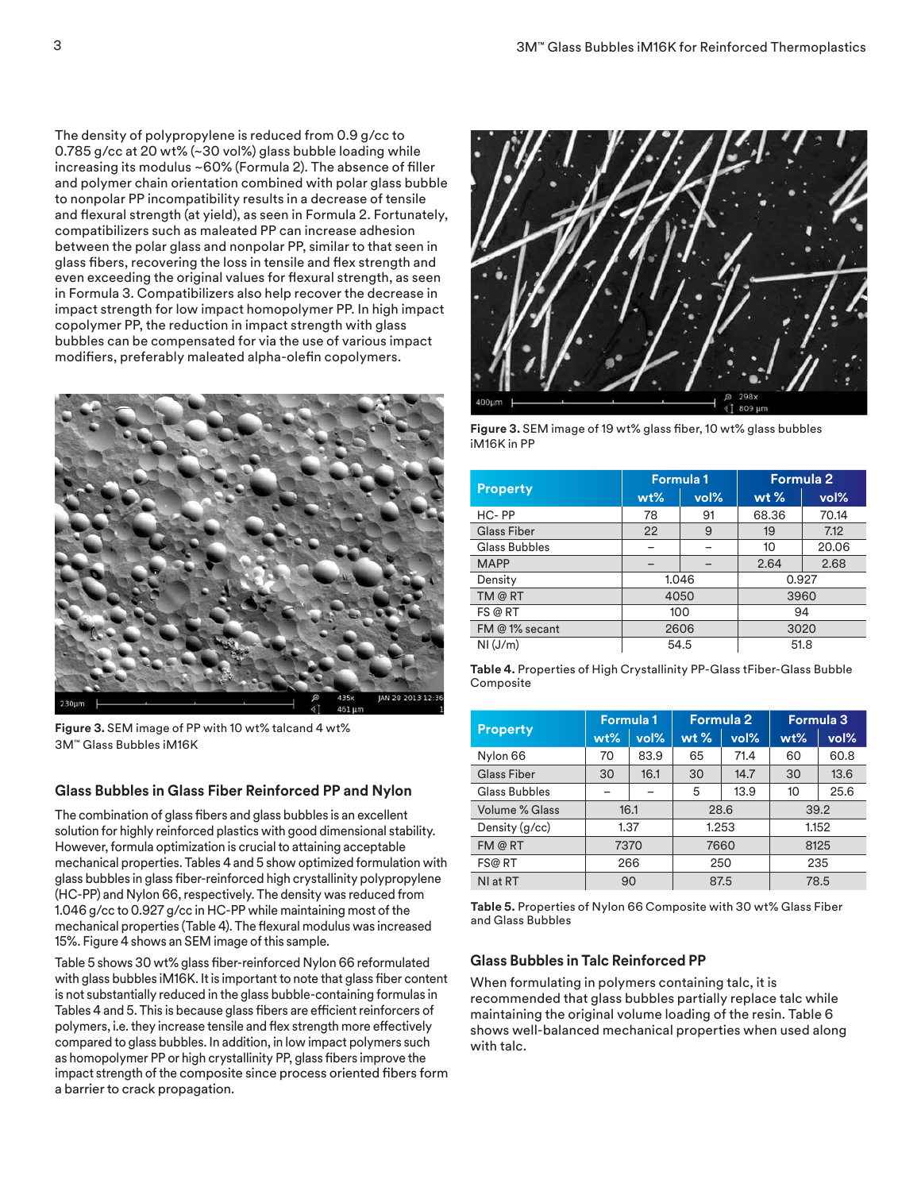The density of polypropylene is reduced from 0.9 g/cc to 0.785 g/cc at 20 wt% (~30 vol%) glass bubble loading while increasing its modulus ~60% (Formula 2). The absence of filler and polymer chain orientation combined with polar glass bubble to nonpolar PP incompatibility results in a decrease of tensile and flexural strength (at yield), as seen in Formula 2. Fortunately, compatibilizers such as maleated PP can increase adhesion between the polar glass and nonpolar PP, similar to that seen in glass fibers, recovering the loss in tensile and flex strength and even exceeding the original values for flexural strength, as seen in Formula 3. Compatibilizers also help recover the decrease in impact strength for low impact homopolymer PP. In high impact copolymer PP, the reduction in impact strength with glass bubbles can be compensated for via the use of various impact modifiers, preferably maleated alpha-olefin copolymers.



**Figure 3.** SEM image of PP with 10 wt% talcand 4 wt% 3M™ Glass Bubbles iM16K

## **Glass Bubbles in Glass Fiber Reinforced PP and Nylon**

The combination of glass fibers and glass bubbles is an excellent solution for highly reinforced plastics with good dimensional stability. However, formula optimization is crucial to attaining acceptable mechanical properties. Tables 4 and 5 show optimized formulation with glass bubbles in glass fiber-reinforced high crystallinity polypropylene (HC-PP) and Nylon 66, respectively. The density was reduced from 1.046 g/cc to 0.927 g/cc in HC-PP while maintaining most of the mechanical properties (Table 4). The flexural modulus was increased 15%. Figure 4 shows an SEM image of this sample.

Table 5 shows 30 wt% glass fiber-reinforced Nylon 66 reformulated with glass bubbles iM16K. It is important to note that glass fiber content is not substantially reduced in the glass bubble-containing formulas in Tables 4 and 5. This is because glass fibers are efficient reinforcers of polymers, i.e. they increase tensile and flex strength more effectively compared to glass bubbles. In addition, in low impact polymers such as homopolymer PP or high crystallinity PP, glass fibers improve the impact strength of the composite since process oriented fibers form a barrier to crack propagation.



**Figure 3.** SEM image of 19 wt% glass fiber, 10 wt% glass bubbles iM16K in PP

|                      |        | <b>Formula 1</b> | <b>Formula 2</b> |       |  |
|----------------------|--------|------------------|------------------|-------|--|
| <b>Property</b>      | $wt\%$ | vol%             | $wt$ %           | vol%  |  |
| HC-PP                | 78     | 91               | 68.36            | 70.14 |  |
| <b>Glass Fiber</b>   | 22     | 9                | 19               | 7.12  |  |
| <b>Glass Bubbles</b> |        |                  | 10               | 20.06 |  |
| <b>MAPP</b>          |        |                  | 2.64             | 2.68  |  |
| Density              |        | 1.046            | 0.927            |       |  |
| TM @ RT              | 4050   |                  | 3960             |       |  |
| FS @ RT              | 100    |                  | 94               |       |  |
| FM @ 1% secant       | 2606   |                  | 3020             |       |  |
| NI(J/m)              |        | 54.5             | 51.8             |       |  |

| Table 4. Properties of High Crystallinity PP-Glass tFiber-Glass Bubble |  |
|------------------------------------------------------------------------|--|
| Composite                                                              |  |

|                 | Formula 1 |      | <b>Formula 2</b> |      | Formula 3 |      |  |
|-----------------|-----------|------|------------------|------|-----------|------|--|
| <b>Property</b> | $wt\%$    | vol% | $wt$ %           | vol% | $wt\%$    | vol% |  |
| Nylon 66        | 70        | 83.9 | 65               | 71.4 | 60        | 60.8 |  |
| Glass Fiber     | 30        | 16.1 | 30               | 14.7 | 30        | 13.6 |  |
| Glass Bubbles   |           |      | 5                | 13.9 | 10        | 25.6 |  |
| Volume % Glass  | 16.1      |      | 28.6             |      |           | 39.2 |  |
| Density (g/cc)  | 1.37      |      | 1.253            |      | 1.152     |      |  |
| FM@RT           | 7370      |      | 7660             |      | 8125      |      |  |
| FS@ RT          | 266       |      | 250              |      | 235       |      |  |
| NI at RT        | 90        |      | 87.5             |      | 78.5      |      |  |

**Table 5.** Properties of Nylon 66 Composite with 30 wt% Glass Fiber and Glass Bubbles

#### **Glass Bubbles in Talc Reinforced PP**

When formulating in polymers containing talc, it is recommended that glass bubbles partially replace talc while maintaining the original volume loading of the resin. Table 6 shows well-balanced mechanical properties when used along with talc.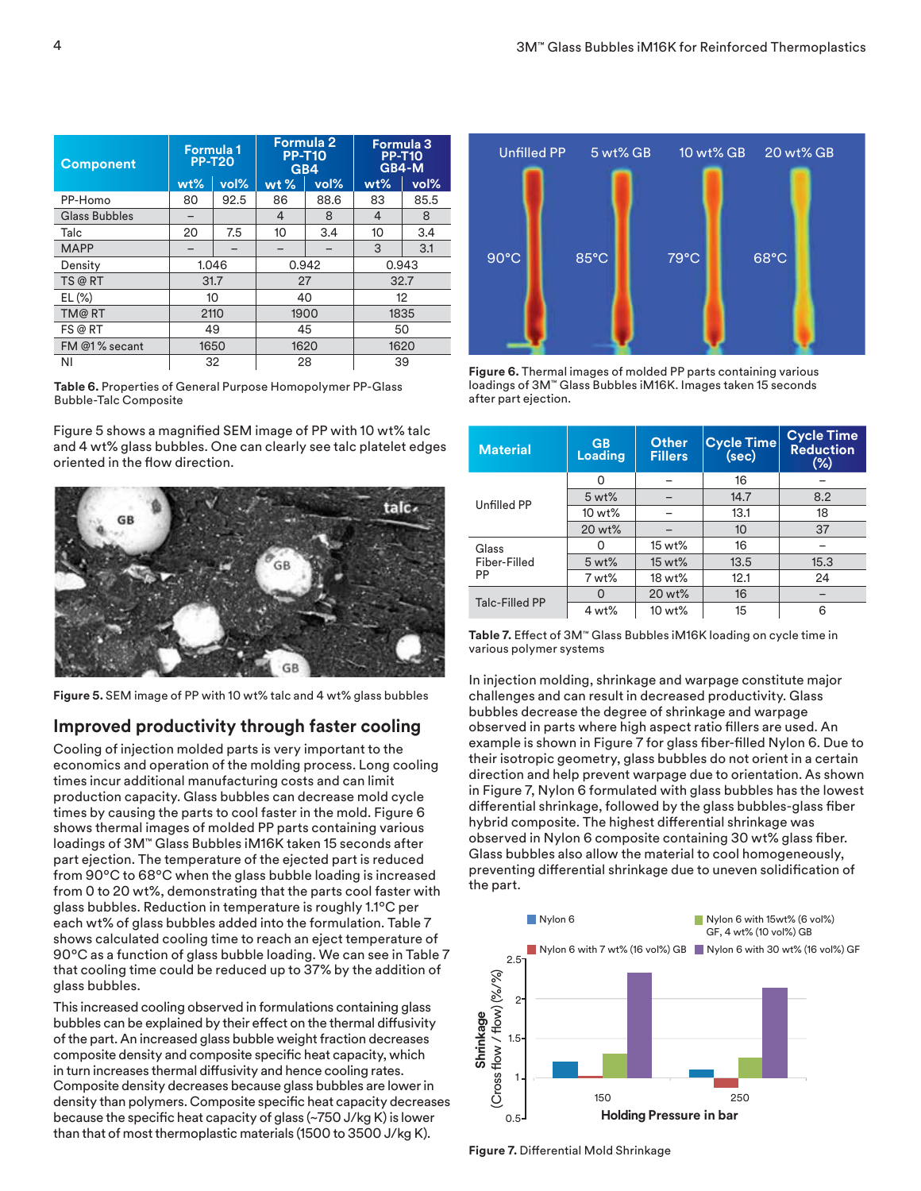| <b>Component</b>     | Formula 1<br><b>PP-T20</b> |      | Formula 2<br><b>PP-T10</b><br>GB4 |       | <b>Formula 3</b><br><b>PP-T10</b><br>GB4-M |       |
|----------------------|----------------------------|------|-----------------------------------|-------|--------------------------------------------|-------|
|                      | $wt\%$                     | vol% | $wt$ %                            | vol%  | $wt\%$                                     | vol%  |
| PP-Homo              | 80                         | 92.5 | 86                                | 88.6  | 83                                         | 85.5  |
| <b>Glass Bubbles</b> |                            |      | 4                                 | 8     | 4                                          | 8     |
| Talc                 | 20                         | 7.5  | 10                                | 3.4   | 10                                         | 3.4   |
| <b>MAPP</b>          |                            |      |                                   |       | 3                                          | 3.1   |
| Density              | 1.046                      |      |                                   | 0.942 |                                            | 0.943 |
| TS @ RT              | 31.7                       |      |                                   | 27    |                                            | 32.7  |
| $EL(\%)$             | 10                         |      | 40                                |       | 12                                         |       |
| TM@RT                | 2110                       |      | 1900                              |       | 1835                                       |       |
| FS @ RT              | 49                         |      | 45                                |       | 50                                         |       |
| FM @1% secant        | 1650                       |      | 1620                              |       | 1620                                       |       |
| ΝI                   | 32                         |      | 28                                |       | 39                                         |       |

**Table 6.** Properties of General Purpose Homopolymer PP-Glass Bubble-Talc Composite

Figure 5 shows a magnified SEM image of PP with 10 wt% talc and 4 wt% glass bubbles. One can clearly see talc platelet edges oriented in the flow direction.



**Figure 5.** SEM image of PP with 10 wt% talc and 4 wt% glass bubbles

## **Improved productivity through faster cooling**

Cooling of injection molded parts is very important to the economics and operation of the molding process. Long cooling times incur additional manufacturing costs and can limit production capacity. Glass bubbles can decrease mold cycle times by causing the parts to cool faster in the mold. Figure 6 shows thermal images of molded PP parts containing various loadings of 3M™ Glass Bubbles iM16K taken 15 seconds after part ejection. The temperature of the ejected part is reduced from 90ºC to 68ºC when the glass bubble loading is increased from 0 to 20 wt%, demonstrating that the parts cool faster with glass bubbles. Reduction in temperature is roughly 1.1ºC per each wt% of glass bubbles added into the formulation. Table 7 shows calculated cooling time to reach an eject temperature of 90ºC as a function of glass bubble loading. We can see in Table 7 that cooling time could be reduced up to 37% by the addition of glass bubbles.

This increased cooling observed in formulations containing glass bubbles can be explained by their effect on the thermal diffusivity of the part. An increased glass bubble weight fraction decreases composite density and composite specific heat capacity, which in turn increases thermal diffusivity and hence cooling rates. Composite density decreases because glass bubbles are lower in density than polymers. Composite specific heat capacity decreases because the specific heat capacity of glass (~750 J/kg K) is lower than that of most thermoplastic materials (1500 to 3500 J/kg K).



**Figure 6.** Thermal images of molded PP parts containing various loadings of 3M™ Glass Bubbles iM16K. Images taken 15 seconds after part ejection.

| <b>Material</b>       | <b>GB</b><br>Loading | Other<br><b>Fillers</b> | <b>Cycle Time</b><br>(sec) | <b>Cycle Time</b><br><b>Reduction</b><br>$(\%)$ |
|-----------------------|----------------------|-------------------------|----------------------------|-------------------------------------------------|
|                       | ∩                    |                         | 16                         |                                                 |
| Unfilled PP           | 5 wt%                |                         | 14.7                       | 8.2                                             |
|                       | 10 wt%               |                         | 13.1                       | 18                                              |
|                       | 20 wt%               |                         | 10                         | 37                                              |
| Glass                 |                      | 15 wt%                  | 16                         |                                                 |
| Fiber-Filled<br>PP    | 5 wt%                | 15 wt%                  | 13.5                       | 15.3                                            |
|                       | 7 wt%                | 18 wt%                  | 12.1                       | 24                                              |
|                       | O                    | 20 wt%                  | 16                         |                                                 |
| <b>Talc-Filled PP</b> | 4 wt%                | 10 wt%                  | 15                         | 6                                               |

**Table 7.** Effect of 3M™ Glass Bubbles iM16K loading on cycle time in various polymer systems

In injection molding, shrinkage and warpage constitute major challenges and can result in decreased productivity. Glass bubbles decrease the degree of shrinkage and warpage observed in parts where high aspect ratio fillers are used. An example is shown in Figure 7 for glass fiber-filled Nylon 6. Due to their isotropic geometry, glass bubbles do not orient in a certain direction and help prevent warpage due to orientation. As shown in Figure 7, Nylon 6 formulated with glass bubbles has the lowest differential shrinkage, followed by the glass bubbles-glass fiber hybrid composite. The highest differential shrinkage was observed in Nylon 6 composite containing 30 wt% glass fiber. Glass bubbles also allow the material to cool homogeneously, preventing differential shrinkage due to uneven solidification of the part.



**Figure 7.** Differential Mold Shrinkage